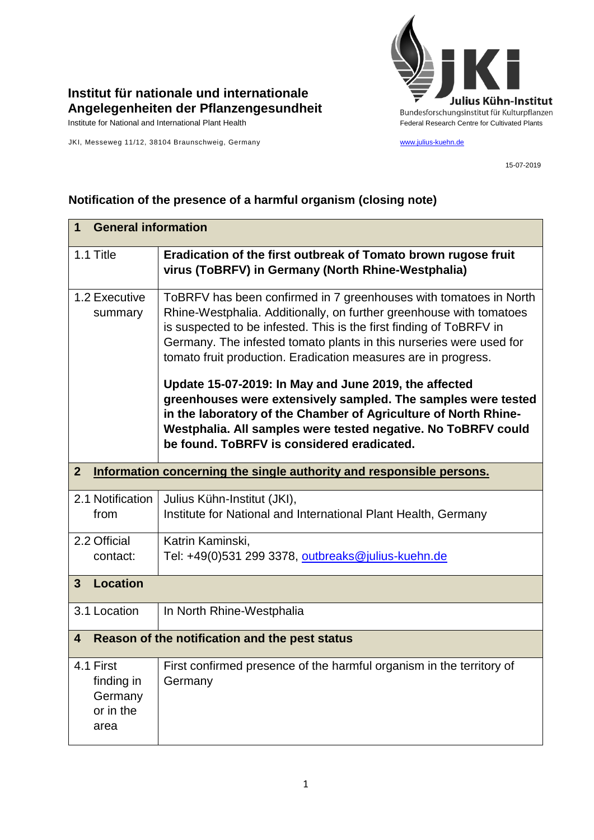

## **Institut für nationale und internationale Angelegenheiten der Pflanzengesundheit**

JKI, Messeweg 11/12, 38104 Braunschweig, Germany [www.julius-kuehn.de](http://www.julius-kuehn.de/)

15-07-2019

## **Notification of the presence of a harmful organism (closing note)**

| <b>General information</b><br>1                         |                                                                                                                                                                                                                                                                                                                                                                                                                                                                                                                                                                                                                                                                      |  |
|---------------------------------------------------------|----------------------------------------------------------------------------------------------------------------------------------------------------------------------------------------------------------------------------------------------------------------------------------------------------------------------------------------------------------------------------------------------------------------------------------------------------------------------------------------------------------------------------------------------------------------------------------------------------------------------------------------------------------------------|--|
| 1.1 Title                                               | Eradication of the first outbreak of Tomato brown rugose fruit<br>virus (ToBRFV) in Germany (North Rhine-Westphalia)                                                                                                                                                                                                                                                                                                                                                                                                                                                                                                                                                 |  |
| 1.2 Executive<br>summary                                | ToBRFV has been confirmed in 7 greenhouses with tomatoes in North<br>Rhine-Westphalia. Additionally, on further greenhouse with tomatoes<br>is suspected to be infested. This is the first finding of ToBRFV in<br>Germany. The infested tomato plants in this nurseries were used for<br>tomato fruit production. Eradication measures are in progress.<br>Update 15-07-2019: In May and June 2019, the affected<br>greenhouses were extensively sampled. The samples were tested<br>in the laboratory of the Chamber of Agriculture of North Rhine-<br>Westphalia. All samples were tested negative. No ToBRFV could<br>be found. ToBRFV is considered eradicated. |  |
| $\overline{2}$                                          | Information concerning the single authority and responsible persons.                                                                                                                                                                                                                                                                                                                                                                                                                                                                                                                                                                                                 |  |
| 2.1 Notification<br>from                                | Julius Kühn-Institut (JKI),<br>Institute for National and International Plant Health, Germany                                                                                                                                                                                                                                                                                                                                                                                                                                                                                                                                                                        |  |
| 2.2 Official<br>contact:                                | Katrin Kaminski,<br>Tel: +49(0)531 299 3378, outbreaks@julius-kuehn.de                                                                                                                                                                                                                                                                                                                                                                                                                                                                                                                                                                                               |  |
| <b>Location</b><br>$\overline{3}$                       |                                                                                                                                                                                                                                                                                                                                                                                                                                                                                                                                                                                                                                                                      |  |
| 3.1 Location                                            | In North Rhine-Westphalia                                                                                                                                                                                                                                                                                                                                                                                                                                                                                                                                                                                                                                            |  |
| Reason of the notification and the pest status<br>4     |                                                                                                                                                                                                                                                                                                                                                                                                                                                                                                                                                                                                                                                                      |  |
| 4.1 First<br>finding in<br>Germany<br>or in the<br>area | First confirmed presence of the harmful organism in the territory of<br>Germany                                                                                                                                                                                                                                                                                                                                                                                                                                                                                                                                                                                      |  |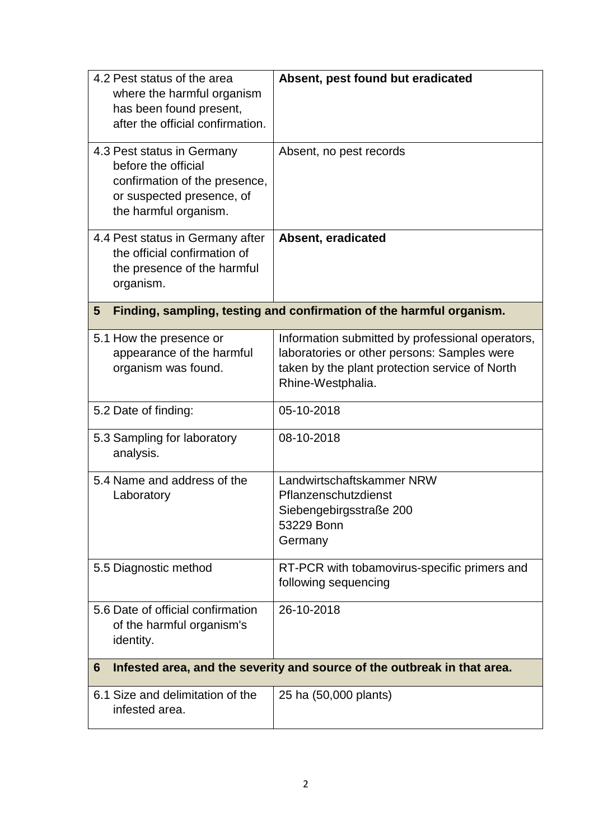| 4.2 Pest status of the area<br>where the harmful organism<br>has been found present,<br>after the official confirmation.<br>4.3 Pest status in Germany<br>before the official<br>confirmation of the presence,<br>or suspected presence, of | Absent, pest found but eradicated<br>Absent, no pest records                                                                                                           |  |
|---------------------------------------------------------------------------------------------------------------------------------------------------------------------------------------------------------------------------------------------|------------------------------------------------------------------------------------------------------------------------------------------------------------------------|--|
| the harmful organism.                                                                                                                                                                                                                       |                                                                                                                                                                        |  |
| 4.4 Pest status in Germany after<br>the official confirmation of<br>the presence of the harmful<br>organism.                                                                                                                                | Absent, eradicated                                                                                                                                                     |  |
| 5                                                                                                                                                                                                                                           | Finding, sampling, testing and confirmation of the harmful organism.                                                                                                   |  |
| 5.1 How the presence or<br>appearance of the harmful<br>organism was found.                                                                                                                                                                 | Information submitted by professional operators,<br>laboratories or other persons: Samples were<br>taken by the plant protection service of North<br>Rhine-Westphalia. |  |
| 5.2 Date of finding:                                                                                                                                                                                                                        | 05-10-2018                                                                                                                                                             |  |
| 5.3 Sampling for laboratory<br>analysis.                                                                                                                                                                                                    | 08-10-2018                                                                                                                                                             |  |
| 5.4 Name and address of the<br>Laboratory                                                                                                                                                                                                   | Landwirtschaftskammer NRW<br>Pflanzenschutzdienst<br>Siebengebirgsstraße 200<br>53229 Bonn<br>Germany                                                                  |  |
| 5.5 Diagnostic method                                                                                                                                                                                                                       | RT-PCR with tobamovirus-specific primers and<br>following sequencing                                                                                                   |  |
| 5.6 Date of official confirmation<br>of the harmful organism's<br>identity.                                                                                                                                                                 | 26-10-2018                                                                                                                                                             |  |
| Infested area, and the severity and source of the outbreak in that area.<br>6                                                                                                                                                               |                                                                                                                                                                        |  |
| 6.1 Size and delimitation of the<br>infested area.                                                                                                                                                                                          | 25 ha (50,000 plants)                                                                                                                                                  |  |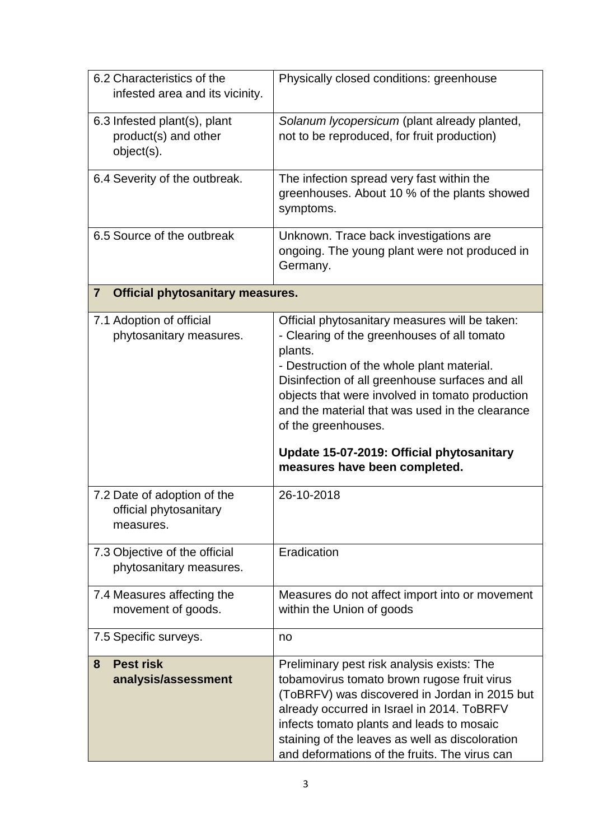| 6.2 Characteristics of the<br>infested area and its vicinity.      | Physically closed conditions: greenhouse                                                                                                                                                                                                                                                                                                                                                                             |  |  |
|--------------------------------------------------------------------|----------------------------------------------------------------------------------------------------------------------------------------------------------------------------------------------------------------------------------------------------------------------------------------------------------------------------------------------------------------------------------------------------------------------|--|--|
| 6.3 Infested plant(s), plant<br>product(s) and other<br>object(s). | Solanum lycopersicum (plant already planted,<br>not to be reproduced, for fruit production)                                                                                                                                                                                                                                                                                                                          |  |  |
| 6.4 Severity of the outbreak.                                      | The infection spread very fast within the<br>greenhouses. About 10 % of the plants showed<br>symptoms.                                                                                                                                                                                                                                                                                                               |  |  |
| 6.5 Source of the outbreak                                         | Unknown. Trace back investigations are<br>ongoing. The young plant were not produced in<br>Germany.                                                                                                                                                                                                                                                                                                                  |  |  |
| <b>Official phytosanitary measures.</b><br>$\overline{\mathbf{r}}$ |                                                                                                                                                                                                                                                                                                                                                                                                                      |  |  |
| 7.1 Adoption of official<br>phytosanitary measures.                | Official phytosanitary measures will be taken:<br>- Clearing of the greenhouses of all tomato<br>plants.<br>- Destruction of the whole plant material.<br>Disinfection of all greenhouse surfaces and all<br>objects that were involved in tomato production<br>and the material that was used in the clearance<br>of the greenhouses.<br>Update 15-07-2019: Official phytosanitary<br>measures have been completed. |  |  |
| 7.2 Date of adoption of the<br>official phytosanitary<br>measures. | 26-10-2018                                                                                                                                                                                                                                                                                                                                                                                                           |  |  |
| 7.3 Objective of the official<br>phytosanitary measures.           | Eradication                                                                                                                                                                                                                                                                                                                                                                                                          |  |  |
| 7.4 Measures affecting the<br>movement of goods.                   | Measures do not affect import into or movement<br>within the Union of goods                                                                                                                                                                                                                                                                                                                                          |  |  |
| 7.5 Specific surveys.                                              | no                                                                                                                                                                                                                                                                                                                                                                                                                   |  |  |
| <b>Pest risk</b><br>8<br>analysis/assessment                       | Preliminary pest risk analysis exists: The<br>tobamovirus tomato brown rugose fruit virus<br>(ToBRFV) was discovered in Jordan in 2015 but<br>already occurred in Israel in 2014. ToBRFV<br>infects tomato plants and leads to mosaic<br>staining of the leaves as well as discoloration<br>and deformations of the fruits. The virus can                                                                            |  |  |